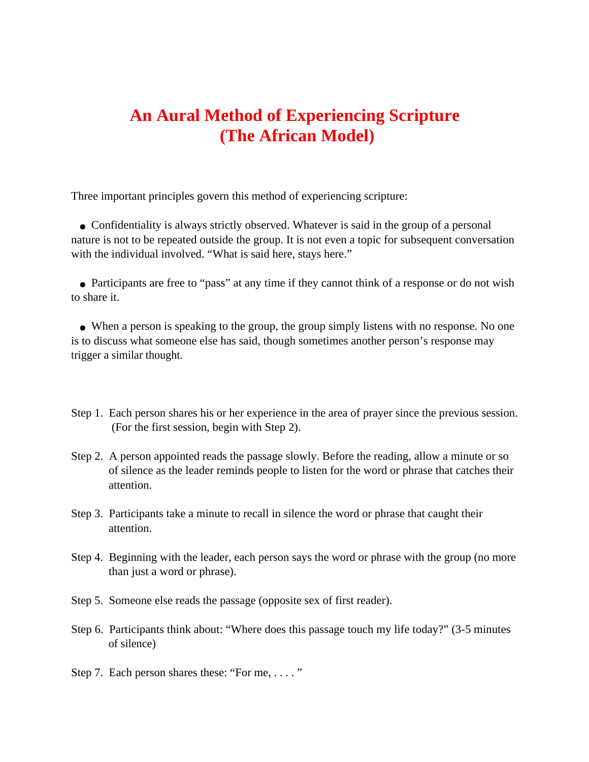## **An Aural Method of Experiencing Scripture (The African Model)**

Three important principles govern this method of experiencing scripture:

• Confidentiality is always strictly observed. Whatever is said in the group of a personal nature is not to be repeated outside the group. It is not even a topic for subsequent conversation with the individual involved. "What is said here, stays here."

• Participants are free to "pass" at any time if they cannot think of a response or do not wish to share it.

• When a person is speaking to the group, the group simply listens with no response. No one is to discuss what someone else has said, though sometimes another person's response may trigger a similar thought.

- Step 1. Each person shares his or her experience in the area of prayer since the previous session. (For the first session, begin with Step 2).
- Step 2. A person appointed reads the passage slowly. Before the reading, allow a minute or so of silence as the leader reminds people to listen for the word or phrase that catches their attention.
- Step 3. Participants take a minute to recall in silence the word or phrase that caught their attention.
- Step 4. Beginning with the leader, each person says the word or phrase with the group (no more than just a word or phrase).
- Step 5. Someone else reads the passage (opposite sex of first reader).
- Step 6. Participants think about: "Where does this passage touch my life today?" (3-5 minutes of silence)
- Step 7. Each person shares these: "For me, ...."